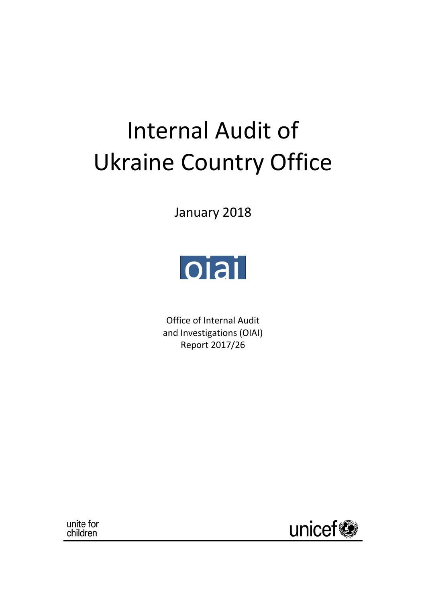# Internal Audit of Ukraine Country Office

January 2018



Office of Internal Audit and Investigations (OIAI) Report 2017/26

unite for<br>children

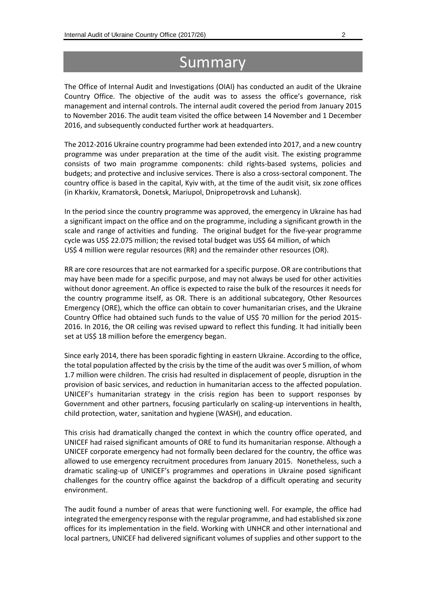## Summary

The Office of Internal Audit and Investigations (OIAI) has conducted an audit of the Ukraine Country Office. The objective of the audit was to assess the office's governance, risk management and internal controls. The internal audit covered the period from January 2015 to November 2016. The audit team visited the office between 14 November and 1 December 2016, and subsequently conducted further work at headquarters.

The 2012-2016 Ukraine country programme had been extended into 2017, and a new country programme was under preparation at the time of the audit visit. The existing programme consists of two main programme components: child rights-based systems, policies and budgets; and protective and inclusive services. There is also a cross-sectoral component. The country office is based in the capital, Kyiv with, at the time of the audit visit, six zone offices (in Kharkiv, Kramatorsk, Donetsk, Mariupol, Dnipropetrovsk and Luhansk).

In the period since the country programme was approved, the emergency in Ukraine has had a significant impact on the office and on the programme, including a significant growth in the scale and range of activities and funding. The original budget for the five-year programme cycle was US\$ 22.075 million; the revised total budget was US\$ 64 million, of which US\$ 4 million were regular resources (RR) and the remainder other resources (OR).

RR are core resources that are not earmarked for a specific purpose. OR are contributions that may have been made for a specific purpose, and may not always be used for other activities without donor agreement. An office is expected to raise the bulk of the resources it needs for the country programme itself, as OR. There is an additional subcategory, Other Resources Emergency (ORE), which the office can obtain to cover humanitarian crises, and the Ukraine Country Office had obtained such funds to the value of US\$ 70 million for the period 2015- 2016. In 2016, the OR ceiling was revised upward to reflect this funding. It had initially been set at US\$ 18 million before the emergency began.

Since early 2014, there has been sporadic fighting in eastern Ukraine. According to the office, the total population affected by the crisis by the time of the audit was over 5 million, of whom 1.7 million were children. The crisis had resulted in displacement of people, disruption in the provision of basic services, and reduction in humanitarian access to the affected population. UNICEF's humanitarian strategy in the crisis region has been to support responses by Government and other partners, focusing particularly on scaling-up interventions in health, child protection, water, sanitation and hygiene (WASH), and education.

This crisis had dramatically changed the context in which the country office operated, and UNICEF had raised significant amounts of ORE to fund its humanitarian response. Although a UNICEF corporate emergency had not formally been declared for the country, the office was allowed to use emergency recruitment procedures from January 2015. Nonetheless, such a dramatic scaling-up of UNICEF's programmes and operations in Ukraine posed significant challenges for the country office against the backdrop of a difficult operating and security environment.

The audit found a number of areas that were functioning well. For example, the office had integrated the emergency response with the regular programme, and had established six zone offices for its implementation in the field. Working with UNHCR and other international and local partners, UNICEF had delivered significant volumes of supplies and other support to the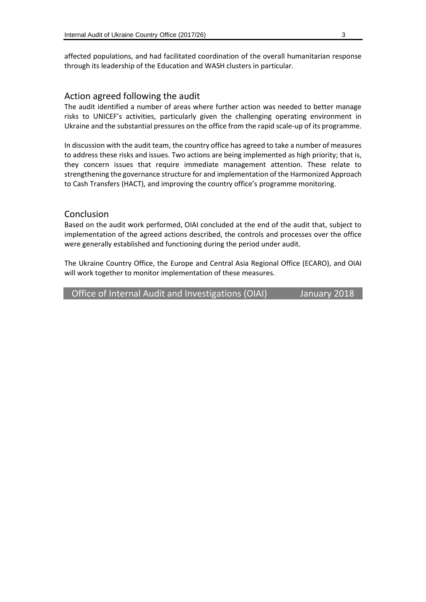affected populations, and had facilitated coordination of the overall humanitarian response through its leadership of the Education and WASH clusters in particular.

#### Action agreed following the audit

The audit identified a number of areas where further action was needed to better manage risks to UNICEF's activities, particularly given the challenging operating environment in Ukraine and the substantial pressures on the office from the rapid scale-up of its programme.

In discussion with the audit team, the country office has agreed to take a number of measures to address these risks and issues. Two actions are being implemented as high priority; that is, they concern issues that require immediate management attention. These relate to strengthening the governance structure for and implementation of the Harmonized Approach to Cash Transfers (HACT), and improving the country office's programme monitoring.

#### Conclusion

Based on the audit work performed, OIAI concluded at the end of the audit that, subject to implementation of the agreed actions described, the controls and processes over the office were generally established and functioning during the period under audit.

The Ukraine Country Office, the Europe and Central Asia Regional Office (ECARO), and OIAI will work together to monitor implementation of these measures.

Office of Internal Audit and Investigations (OIAI) January 2018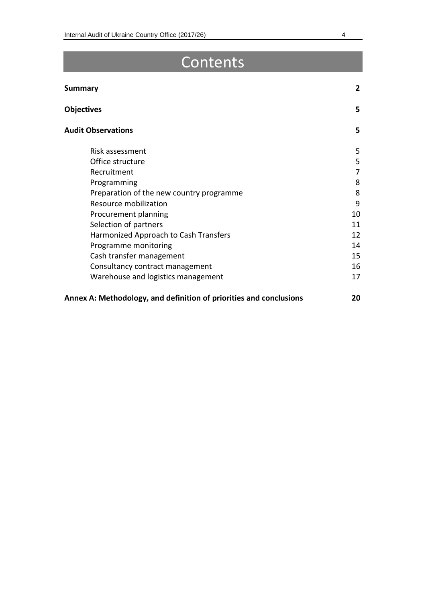## **Contents**

| <b>Summary</b>                                                     | $\overline{2}$ |
|--------------------------------------------------------------------|----------------|
| <b>Objectives</b>                                                  | 5              |
| <b>Audit Observations</b>                                          | 5              |
| Risk assessment                                                    | 5              |
| Office structure                                                   | 5              |
| Recruitment                                                        | 7              |
| Programming                                                        | 8              |
| Preparation of the new country programme                           | 8              |
| Resource mobilization                                              | 9              |
| Procurement planning                                               | 10             |
| Selection of partners                                              | 11             |
| Harmonized Approach to Cash Transfers                              | 12             |
| Programme monitoring                                               | 14             |
| Cash transfer management                                           | 15             |
| Consultancy contract management                                    | 16             |
| Warehouse and logistics management                                 | 17             |
| Annex A: Methodology, and definition of priorities and conclusions | 20             |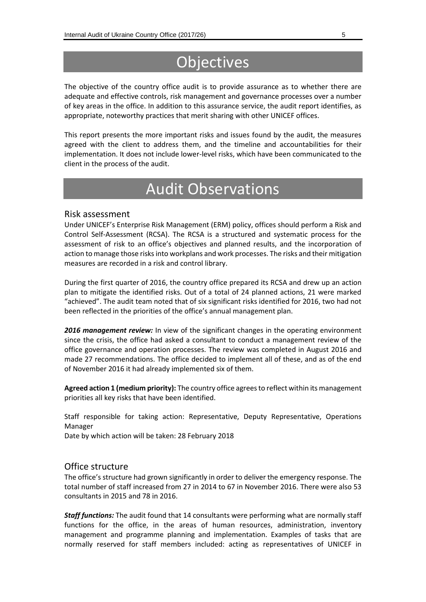## **Objectives**

The objective of the country office audit is to provide assurance as to whether there are adequate and effective controls, risk management and governance processes over a number of key areas in the office. In addition to this assurance service, the audit report identifies, as appropriate, noteworthy practices that merit sharing with other UNICEF offices.

This report presents the more important risks and issues found by the audit, the measures agreed with the client to address them, and the timeline and accountabilities for their implementation. It does not include lower-level risks, which have been communicated to the client in the process of the audit.

## Audit Observations

#### Risk assessment

Under UNICEF's Enterprise Risk Management (ERM) policy, offices should perform a Risk and Control Self-Assessment (RCSA). The RCSA is a structured and systematic process for the assessment of risk to an office's objectives and planned results, and the incorporation of action to manage those risks into workplans and work processes. The risks and their mitigation measures are recorded in a risk and control library.

During the first quarter of 2016, the country office prepared its RCSA and drew up an action plan to mitigate the identified risks. Out of a total of 24 planned actions, 21 were marked "achieved". The audit team noted that of six significant risks identified for 2016, two had not been reflected in the priorities of the office's annual management plan.

**2016 management review:** In view of the significant changes in the operating environment since the crisis, the office had asked a consultant to conduct a management review of the office governance and operation processes. The review was completed in August 2016 and made 27 recommendations. The office decided to implement all of these, and as of the end of November 2016 it had already implemented six of them.

**Agreed action 1 (medium priority):** The country office agrees to reflect within its management priorities all key risks that have been identified.

Staff responsible for taking action: Representative, Deputy Representative, Operations Manager

Date by which action will be taken: 28 February 2018

#### Office structure

The office's structure had grown significantly in order to deliver the emergency response. The total number of staff increased from 27 in 2014 to 67 in November 2016. There were also 53 consultants in 2015 and 78 in 2016.

*Staff functions:* The audit found that 14 consultants were performing what are normally staff functions for the office, in the areas of human resources, administration, inventory management and programme planning and implementation. Examples of tasks that are normally reserved for staff members included: acting as representatives of UNICEF in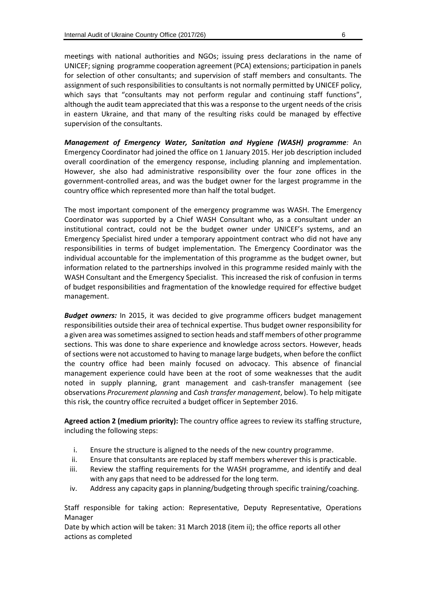meetings with national authorities and NGOs; issuing press declarations in the name of UNICEF; signing programme cooperation agreement (PCA) extensions; participation in panels for selection of other consultants; and supervision of staff members and consultants. The assignment of such responsibilities to consultants is not normally permitted by UNICEF policy, which says that "consultants may not perform regular and continuing staff functions", although the audit team appreciated that this was a response to the urgent needs of the crisis in eastern Ukraine, and that many of the resulting risks could be managed by effective supervision of the consultants.

*Management of Emergency Water, Sanitation and Hygiene (WASH) programme:* An Emergency Coordinator had joined the office on 1 January 2015. Her job description included overall coordination of the emergency response, including planning and implementation. However, she also had administrative responsibility over the four zone offices in the government-controlled areas, and was the budget owner for the largest programme in the country office which represented more than half the total budget.

The most important component of the emergency programme was WASH. The Emergency Coordinator was supported by a Chief WASH Consultant who, as a consultant under an institutional contract, could not be the budget owner under UNICEF's systems, and an Emergency Specialist hired under a temporary appointment contract who did not have any responsibilities in terms of budget implementation. The Emergency Coordinator was the individual accountable for the implementation of this programme as the budget owner, but information related to the partnerships involved in this programme resided mainly with the WASH Consultant and the Emergency Specialist. This increased the risk of confusion in terms of budget responsibilities and fragmentation of the knowledge required for effective budget management.

*Budget owners:* In 2015, it was decided to give programme officers budget management responsibilities outside their area of technical expertise. Thus budget owner responsibility for a given area was sometimes assigned to section heads and staff members of other programme sections. This was done to share experience and knowledge across sectors. However, heads of sections were not accustomed to having to manage large budgets, when before the conflict the country office had been mainly focused on advocacy. This absence of financial management experience could have been at the root of some weaknesses that the audit noted in supply planning, grant management and cash-transfer management (see observations *Procurement planning* and *Cash transfer management*, below). To help mitigate this risk, the country office recruited a budget officer in September 2016.

**Agreed action 2 (medium priority):** The country office agrees to review its staffing structure, including the following steps:

- i. Ensure the structure is aligned to the needs of the new country programme.
- ii. Ensure that consultants are replaced by staff members wherever this is practicable.
- iii. Review the staffing requirements for the WASH programme, and identify and deal with any gaps that need to be addressed for the long term.
- iv. Address any capacity gaps in planning/budgeting through specific training/coaching.

Staff responsible for taking action: Representative, Deputy Representative, Operations Manager

Date by which action will be taken: 31 March 2018 (item ii); the office reports all other actions as completed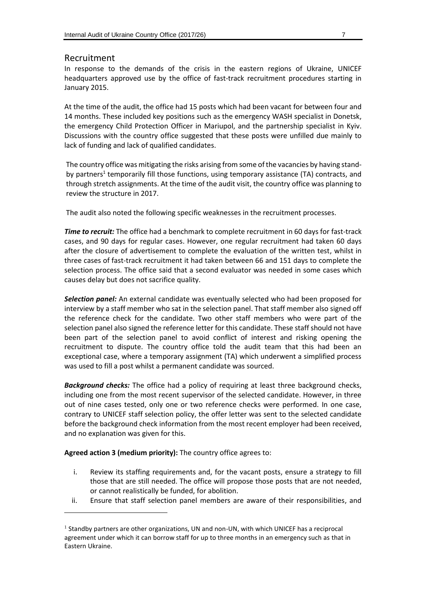#### Recruitment

-

In response to the demands of the crisis in the eastern regions of Ukraine, UNICEF headquarters approved use by the office of fast-track recruitment procedures starting in January 2015.

At the time of the audit, the office had 15 posts which had been vacant for between four and 14 months. These included key positions such as the emergency WASH specialist in Donetsk, the emergency Child Protection Officer in Mariupol, and the partnership specialist in Kyiv. Discussions with the country office suggested that these posts were unfilled due mainly to lack of funding and lack of qualified candidates.

The country office was mitigating the risks arising from some of the vacancies by having standby partners<sup>1</sup> temporarily fill those functions, using temporary assistance (TA) contracts, and through stretch assignments. At the time of the audit visit, the country office was planning to review the structure in 2017.

The audit also noted the following specific weaknesses in the recruitment processes.

**Time to recruit:** The office had a benchmark to complete recruitment in 60 days for fast-track cases, and 90 days for regular cases. However, one regular recruitment had taken 60 days after the closure of advertisement to complete the evaluation of the written test, whilst in three cases of fast-track recruitment it had taken between 66 and 151 days to complete the selection process. The office said that a second evaluator was needed in some cases which causes delay but does not sacrifice quality.

*Selection panel:* An external candidate was eventually selected who had been proposed for interview by a staff member who sat in the selection panel. That staff member also signed off the reference check for the candidate. Two other staff members who were part of the selection panel also signed the reference letter for this candidate. These staff should not have been part of the selection panel to avoid conflict of interest and risking opening the recruitment to dispute. The country office told the audit team that this had been an exceptional case, where a temporary assignment (TA) which underwent a simplified process was used to fill a post whilst a permanent candidate was sourced.

*Background checks:* The office had a policy of requiring at least three background checks, including one from the most recent supervisor of the selected candidate. However, in three out of nine cases tested, only one or two reference checks were performed. In one case, contrary to UNICEF staff selection policy, the offer letter was sent to the selected candidate before the background check information from the most recent employer had been received, and no explanation was given for this.

**Agreed action 3 (medium priority):** The country office agrees to:

- i. Review its staffing requirements and, for the vacant posts, ensure a strategy to fill those that are still needed. The office will propose those posts that are not needed, or cannot realistically be funded, for abolition.
- ii. Ensure that staff selection panel members are aware of their responsibilities, and

<sup>&</sup>lt;sup>1</sup> Standby partners are other organizations, UN and non-UN, with which UNICEF has a reciprocal agreement under which it can borrow staff for up to three months in an emergency such as that in Eastern Ukraine.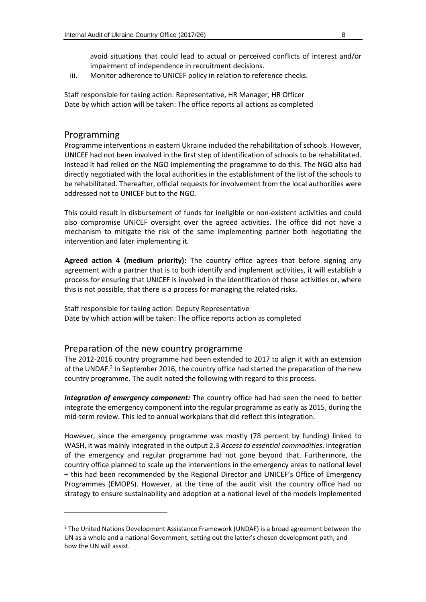avoid situations that could lead to actual or perceived conflicts of interest and/or impairment of independence in recruitment decisions.

iii. Monitor adherence to UNICEF policy in relation to reference checks.

Staff responsible for taking action: Representative, HR Manager, HR Officer Date by which action will be taken: The office reports all actions as completed

#### Programming

-

Programme interventions in eastern Ukraine included the rehabilitation of schools. However, UNICEF had not been involved in the first step of identification of schools to be rehabilitated. Instead it had relied on the NGO implementing the programme to do this. The NGO also had directly negotiated with the local authorities in the establishment of the list of the schools to be rehabilitated. Thereafter, official requests for involvement from the local authorities were addressed not to UNICEF but to the NGO.

This could result in disbursement of funds for ineligible or non-existent activities and could also compromise UNICEF oversight over the agreed activities. The office did not have a mechanism to mitigate the risk of the same implementing partner both negotiating the intervention and later implementing it.

**Agreed action 4 (medium priority):** The country office agrees that before signing any agreement with a partner that is to both identify and implement activities, it will establish a process for ensuring that UNICEF is involved in the identification of those activities or, where this is not possible, that there is a process for managing the related risks.

Staff responsible for taking action: Deputy Representative Date by which action will be taken: The office reports action as completed

#### Preparation of the new country programme

The 2012-2016 country programme had been extended to 2017 to align it with an extension of the UNDAF.<sup>2</sup> In September 2016, the country office had started the preparation of the new country programme. The audit noted the following with regard to this process.

*Integration of emergency component:* The country office had had seen the need to better integrate the emergency component into the regular programme as early as 2015, during the mid-term review. This led to annual workplans that did reflect this integration.

However, since the emergency programme was mostly (78 percent by funding) linked to WASH, it was mainly integrated in the output 2.3 *Access to essential commodities*. Integration of the emergency and regular programme had not gone beyond that. Furthermore, the country office planned to scale up the interventions in the emergency areas to national level – this had been recommended by the Regional Director and UNICEF's Office of Emergency Programmes (EMOPS). However, at the time of the audit visit the country office had no strategy to ensure sustainability and adoption at a national level of the models implemented

<sup>&</sup>lt;sup>2</sup> The United Nations Development Assistance Framework (UNDAF) is a broad agreement between the UN as a whole and a national Government, setting out the latter's chosen development path, and how the UN will assist.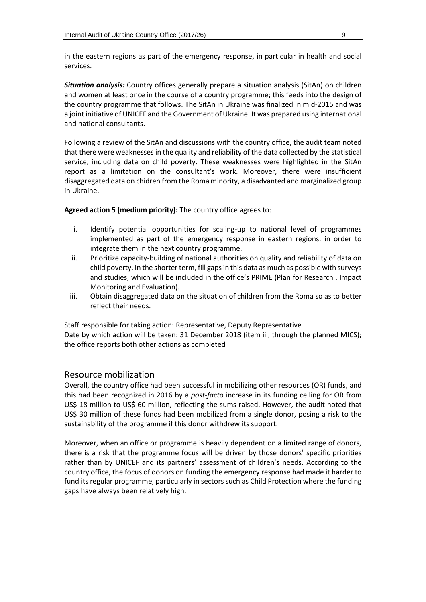in the eastern regions as part of the emergency response, in particular in health and social services.

*Situation analysis:* Country offices generally prepare a situation analysis (SitAn) on children and women at least once in the course of a country programme; this feeds into the design of the country programme that follows. The SitAn in Ukraine was finalized in mid-2015 and was a joint initiative of UNICEF and the Government of Ukraine. It was prepared using international and national consultants.

Following a review of the SitAn and discussions with the country office, the audit team noted that there were weaknesses in the quality and reliability of the data collected by the statistical service, including data on child poverty. These weaknesses were highlighted in the SitAn report as a limitation on the consultant's work. Moreover, there were insufficient disaggregated data on chidren from the Roma minority, a disadvanted and marginalized group in Ukraine.

**Agreed action 5 (medium priority):** The country office agrees to:

- i. Identify potential opportunities for scaling-up to national level of programmes implemented as part of the emergency response in eastern regions, in order to integrate them in the next country programme.
- ii. Prioritize capacity-building of national authorities on quality and reliability of data on child poverty. In the shorter term, fill gaps in this data as much as possible with surveys and studies, which will be included in the office's PRIME (Plan for Research , Impact Monitoring and Evaluation).
- iii. Obtain disaggregated data on the situation of children from the Roma so as to better reflect their needs.

Staff responsible for taking action: Representative, Deputy Representative Date by which action will be taken: 31 December 2018 (item iii, through the planned MICS); the office reports both other actions as completed

#### Resource mobilization

Overall, the country office had been successful in mobilizing other resources (OR) funds, and this had been recognized in 2016 by a *post-facto* increase in its funding ceiling for OR from US\$ 18 million to US\$ 60 million, reflecting the sums raised. However, the audit noted that US\$ 30 million of these funds had been mobilized from a single donor, posing a risk to the sustainability of the programme if this donor withdrew its support.

Moreover, when an office or programme is heavily dependent on a limited range of donors, there is a risk that the programme focus will be driven by those donors' specific priorities rather than by UNICEF and its partners' assessment of children's needs. According to the country office, the focus of donors on funding the emergency response had made it harder to fund its regular programme, particularly in sectors such as Child Protection where the funding gaps have always been relatively high.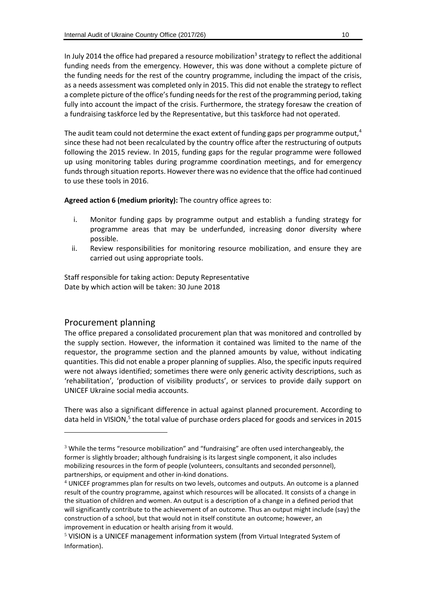In July 2014 the office had prepared a resource mobilization<sup>3</sup> strategy to reflect the additional funding needs from the emergency. However, this was done without a complete picture of the funding needs for the rest of the country programme, including the impact of the crisis, as a needs assessment was completed only in 2015. This did not enable the strategy to reflect a complete picture of the office's funding needs for the rest of the programming period, taking fully into account the impact of the crisis. Furthermore, the strategy foresaw the creation of a fundraising taskforce led by the Representative, but this taskforce had not operated.

The audit team could not determine the exact extent of funding gaps per programme output, $4$ since these had not been recalculated by the country office after the restructuring of outputs following the 2015 review. In 2015, funding gaps for the regular programme were followed up using monitoring tables during programme coordination meetings, and for emergency funds through situation reports. However there was no evidence that the office had continued to use these tools in 2016.

**Agreed action 6 (medium priority):** The country office agrees to:

- i. Monitor funding gaps by programme output and establish a funding strategy for programme areas that may be underfunded, increasing donor diversity where possible.
- ii. Review responsibilities for monitoring resource mobilization, and ensure they are carried out using appropriate tools.

Staff responsible for taking action: Deputy Representative Date by which action will be taken: 30 June 2018

#### Procurement planning

1

The office prepared a consolidated procurement plan that was monitored and controlled by the supply section. However, the information it contained was limited to the name of the requestor, the programme section and the planned amounts by value, without indicating quantities. This did not enable a proper planning of supplies. Also, the specific inputs required were not always identified; sometimes there were only generic activity descriptions, such as 'rehabilitation', 'production of visibility products', or services to provide daily support on UNICEF Ukraine social media accounts.

There was also a significant difference in actual against planned procurement. According to data held in VISION,<sup>5</sup> the total value of purchase orders placed for goods and services in 2015

 $3$  While the terms "resource mobilization" and "fundraising" are often used interchangeably, the former is slightly broader; although fundraising is its largest single component, it also includes mobilizing resources in the form of people (volunteers, consultants and seconded personnel), partnerships, or equipment and other in-kind donations.

<sup>4</sup> UNICEF programmes plan for results on two levels, outcomes and outputs. An outcome is a planned result of the country programme, against which resources will be allocated. It consists of a change in the situation of children and women. An output is a description of a change in a defined period that will significantly contribute to the achievement of an outcome. Thus an output might include (say) the construction of a school, but that would not in itself constitute an outcome; however, an improvement in education or health arising from it would.

<sup>5</sup> VISION is a UNICEF management information system (from Virtual Integrated System of Information).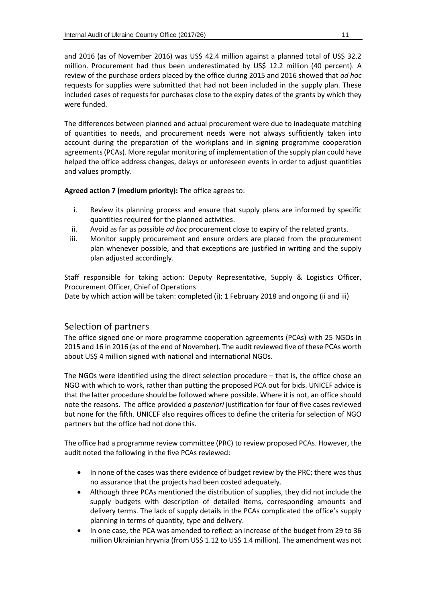and 2016 (as of November 2016) was US\$ 42.4 million against a planned total of US\$ 32.2 million. Procurement had thus been underestimated by US\$ 12.2 million (40 percent). A review of the purchase orders placed by the office during 2015 and 2016 showed that *ad hoc* requests for supplies were submitted that had not been included in the supply plan. These included cases of requests for purchases close to the expiry dates of the grants by which they were funded.

The differences between planned and actual procurement were due to inadequate matching of quantities to needs, and procurement needs were not always sufficiently taken into account during the preparation of the workplans and in signing programme cooperation agreements(PCAs). More regular monitoring of implementation of the supply plan could have helped the office address changes, delays or unforeseen events in order to adjust quantities and values promptly.

**Agreed action 7 (medium priority):** The office agrees to:

- i. Review its planning process and ensure that supply plans are informed by specific quantities required for the planned activities.
- ii. Avoid as far as possible *ad hoc* procurement close to expiry of the related grants.
- iii. Monitor supply procurement and ensure orders are placed from the procurement plan whenever possible, and that exceptions are justified in writing and the supply plan adjusted accordingly.

Staff responsible for taking action: Deputy Representative, Supply & Logistics Officer, Procurement Officer, Chief of Operations

Date by which action will be taken: completed (i); 1 February 2018 and ongoing (ii and iii)

#### Selection of partners

The office signed one or more programme cooperation agreements (PCAs) with 25 NGOs in 2015 and 16 in 2016 (as of the end of November). The audit reviewed five of these PCAs worth about US\$ 4 million signed with national and international NGOs.

The NGOs were identified using the direct selection procedure – that is, the office chose an NGO with which to work, rather than putting the proposed PCA out for bids. UNICEF advice is that the latter procedure should be followed where possible. Where it is not, an office should note the reasons. The office provided *a posteriori* justification for four of five cases reviewed but none for the fifth. UNICEF also requires offices to define the criteria for selection of NGO partners but the office had not done this.

The office had a programme review committee (PRC) to review proposed PCAs. However, the audit noted the following in the five PCAs reviewed:

- In none of the cases was there evidence of budget review by the PRC; there was thus no assurance that the projects had been costed adequately.
- Although three PCAs mentioned the distribution of supplies, they did not include the supply budgets with description of detailed items, corresponding amounts and delivery terms. The lack of supply details in the PCAs complicated the office's supply planning in terms of quantity, type and delivery.
- In one case, the PCA was amended to reflect an increase of the budget from 29 to 36 million Ukrainian hryvnia (from US\$ 1.12 to US\$ 1.4 million). The amendment was not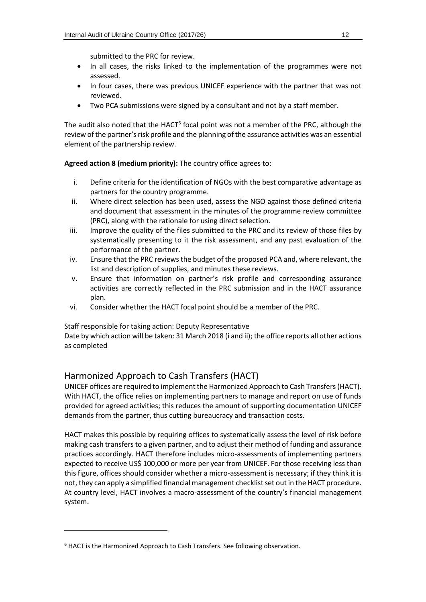submitted to the PRC for review.

- In all cases, the risks linked to the implementation of the programmes were not assessed.
- In four cases, there was previous UNICEF experience with the partner that was not reviewed.
- Two PCA submissions were signed by a consultant and not by a staff member.

The audit also noted that the HACT<sup>6</sup> focal point was not a member of the PRC, although the review of the partner's risk profile and the planning of the assurance activities was an essential element of the partnership review.

**Agreed action 8 (medium priority):** The country office agrees to:

- i. Define criteria for the identification of NGOs with the best comparative advantage as partners for the country programme.
- ii. Where direct selection has been used, assess the NGO against those defined criteria and document that assessment in the minutes of the programme review committee (PRC), along with the rationale for using direct selection.
- iii. Improve the quality of the files submitted to the PRC and its review of those files by systematically presenting to it the risk assessment, and any past evaluation of the performance of the partner.
- iv. Ensure that the PRC reviews the budget of the proposed PCA and, where relevant, the list and description of supplies, and minutes these reviews.
- v. Ensure that information on partner's risk profile and corresponding assurance activities are correctly reflected in the PRC submission and in the HACT assurance plan.
- vi. Consider whether the HACT focal point should be a member of the PRC.

Staff responsible for taking action: Deputy Representative

Date by which action will be taken: 31 March 2018 (i and ii); the office reports all other actions as completed

#### Harmonized Approach to Cash Transfers (HACT)

UNICEF offices are required to implement the Harmonized Approach to Cash Transfers(HACT). With HACT, the office relies on implementing partners to manage and report on use of funds provided for agreed activities; this reduces the amount of supporting documentation UNICEF demands from the partner, thus cutting bureaucracy and transaction costs.

HACT makes this possible by requiring offices to systematically assess the level of risk before making cash transfers to a given partner, and to adjust their method of funding and assurance practices accordingly. HACT therefore includes micro-assessments of implementing partners expected to receive US\$ 100,000 or more per year from UNICEF. For those receiving less than this figure, offices should consider whether a micro-assessment is necessary; if they think it is not, they can apply a simplified financial management checklist set out in the HACT procedure. At country level, HACT involves a macro-assessment of the country's financial management system.

-

 $6$  HACT is the Harmonized Approach to Cash Transfers. See following observation.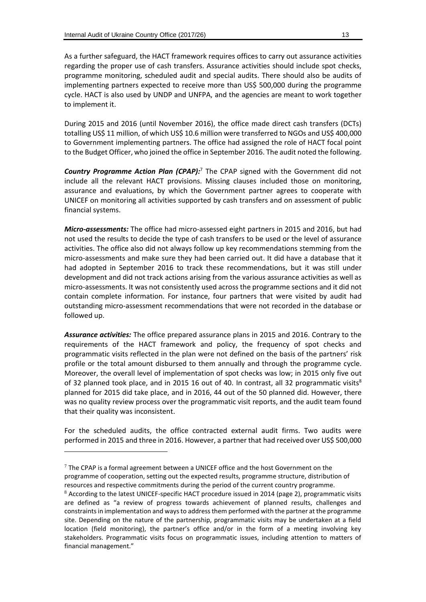As a further safeguard, the HACT framework requires offices to carry out assurance activities regarding the proper use of cash transfers. Assurance activities should include spot checks, programme monitoring, scheduled audit and special audits. There should also be audits of implementing partners expected to receive more than US\$ 500,000 during the programme cycle. HACT is also used by UNDP and UNFPA, and the agencies are meant to work together to implement it.

During 2015 and 2016 (until November 2016), the office made direct cash transfers (DCTs) totalling US\$ 11 million, of which US\$ 10.6 million were transferred to NGOs and US\$ 400,000 to Government implementing partners. The office had assigned the role of HACT focal point to the Budget Officer, who joined the office in September 2016. The audit noted the following.

*Country Programme Action Plan (CPAP):*<sup>7</sup> The CPAP signed with the Government did not include all the relevant HACT provisions. Missing clauses included those on monitoring, assurance and evaluations, by which the Government partner agrees to cooperate with UNICEF on monitoring all activities supported by cash transfers and on assessment of public financial systems.

*Micro-assessments:* The office had micro-assessed eight partners in 2015 and 2016, but had not used the results to decide the type of cash transfers to be used or the level of assurance activities. The office also did not always follow up key recommendations stemming from the micro-assessments and make sure they had been carried out. It did have a database that it had adopted in September 2016 to track these recommendations, but it was still under development and did not track actions arising from the various assurance activities as well as micro-assessments. It was not consistently used across the programme sections and it did not contain complete information. For instance, four partners that were visited by audit had outstanding micro-assessment recommendations that were not recorded in the database or followed up.

*Assurance activities:* The office prepared assurance plans in 2015 and 2016. Contrary to the requirements of the HACT framework and policy, the frequency of spot checks and programmatic visits reflected in the plan were not defined on the basis of the partners' risk profile or the total amount disbursed to them annually and through the programme cycle. Moreover, the overall level of implementation of spot checks was low; in 2015 only five out of 32 planned took place, and in 2015 16 out of 40. In contrast, all 32 programmatic visits<sup>8</sup> planned for 2015 did take place, and in 2016, 44 out of the 50 planned did. However, there was no quality review process over the programmatic visit reports, and the audit team found that their quality was inconsistent.

For the scheduled audits, the office contracted external audit firms. Two audits were performed in 2015 and three in 2016. However, a partner that had received over US\$ 500,000

-

 $7$  The CPAP is a formal agreement between a UNICEF office and the host Government on the programme of cooperation, setting out the expected results, programme structure, distribution of resources and respective commitments during the period of the current country programme.

 $8$  According to the latest UNICEF-specific HACT procedure issued in 2014 (page 2), programmatic visits are defined as "a review of progress towards achievement of planned results, challenges and constraints in implementation and ways to address them performed with the partner at the programme site. Depending on the nature of the partnership, programmatic visits may be undertaken at a field location (field monitoring), the partner's office and/or in the form of a meeting involving key stakeholders. Programmatic visits focus on programmatic issues, including attention to matters of financial management."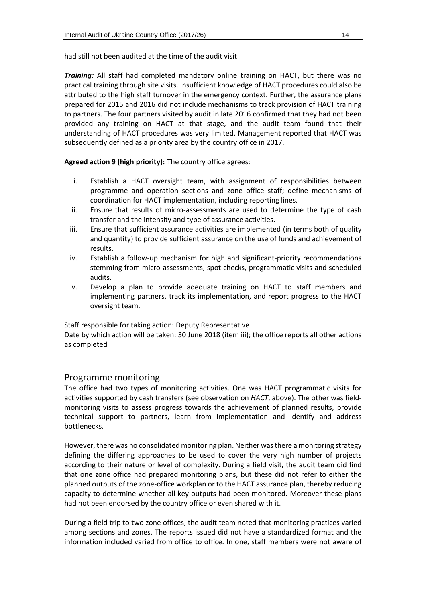had still not been audited at the time of the audit visit.

*Training:* All staff had completed mandatory online training on HACT, but there was no practical training through site visits. Insufficient knowledge of HACT procedures could also be attributed to the high staff turnover in the emergency context. Further, the assurance plans prepared for 2015 and 2016 did not include mechanisms to track provision of HACT training to partners. The four partners visited by audit in late 2016 confirmed that they had not been provided any training on HACT at that stage, and the audit team found that their understanding of HACT procedures was very limited. Management reported that HACT was subsequently defined as a priority area by the country office in 2017.

#### **Agreed action 9 (high priority):** The country office agrees:

- i. Establish a HACT oversight team, with assignment of responsibilities between programme and operation sections and zone office staff; define mechanisms of coordination for HACT implementation, including reporting lines.
- ii. Ensure that results of micro-assessments are used to determine the type of cash transfer and the intensity and type of assurance activities.
- iii. Ensure that sufficient assurance activities are implemented (in terms both of quality and quantity) to provide sufficient assurance on the use of funds and achievement of results.
- iv. Establish a follow-up mechanism for high and significant-priority recommendations stemming from micro-assessments, spot checks, programmatic visits and scheduled audits.
- v. Develop a plan to provide adequate training on HACT to staff members and implementing partners, track its implementation, and report progress to the HACT oversight team.

#### Staff responsible for taking action: Deputy Representative

Date by which action will be taken: 30 June 2018 (item iii); the office reports all other actions as completed

#### Programme monitoring

The office had two types of monitoring activities. One was HACT programmatic visits for activities supported by cash transfers (see observation on *HACT*, above). The other was fieldmonitoring visits to assess progress towards the achievement of planned results, provide technical support to partners, learn from implementation and identify and address bottlenecks.

However, there was no consolidated monitoring plan. Neither was there a monitoring strategy defining the differing approaches to be used to cover the very high number of projects according to their nature or level of complexity. During a field visit, the audit team did find that one zone office had prepared monitoring plans, but these did not refer to either the planned outputs of the zone-office workplan or to the HACT assurance plan, thereby reducing capacity to determine whether all key outputs had been monitored. Moreover these plans had not been endorsed by the country office or even shared with it.

During a field trip to two zone offices, the audit team noted that monitoring practices varied among sections and zones. The reports issued did not have a standardized format and the information included varied from office to office. In one, staff members were not aware of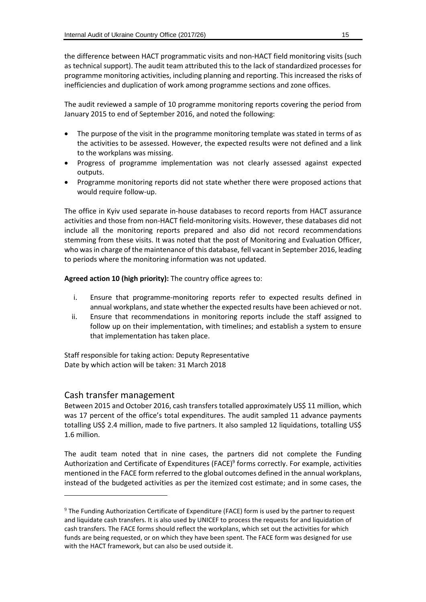the difference between HACT programmatic visits and non-HACT field monitoring visits (such as technical support). The audit team attributed this to the lack of standardized processes for programme monitoring activities, including planning and reporting. This increased the risks of inefficiencies and duplication of work among programme sections and zone offices.

The audit reviewed a sample of 10 programme monitoring reports covering the period from January 2015 to end of September 2016, and noted the following:

- The purpose of the visit in the programme monitoring template was stated in terms of as the activities to be assessed. However, the expected results were not defined and a link to the workplans was missing.
- Progress of programme implementation was not clearly assessed against expected outputs.
- Programme monitoring reports did not state whether there were proposed actions that would require follow-up.

The office in Kyiv used separate in-house databases to record reports from HACT assurance activities and those from non-HACT field-monitoring visits. However, these databases did not include all the monitoring reports prepared and also did not record recommendations stemming from these visits. It was noted that the post of Monitoring and Evaluation Officer, who was in charge of the maintenance of this database, fell vacant in September 2016, leading to periods where the monitoring information was not updated.

**Agreed action 10 (high priority):** The country office agrees to:

- i. Ensure that programme-monitoring reports refer to expected results defined in annual workplans, and state whether the expected results have been achieved or not.
- ii. Ensure that recommendations in monitoring reports include the staff assigned to follow up on their implementation, with timelines; and establish a system to ensure that implementation has taken place.

Staff responsible for taking action: Deputy Representative Date by which action will be taken: 31 March 2018

#### Cash transfer management

-

Between 2015 and October 2016, cash transfers totalled approximately US\$ 11 million, which was 17 percent of the office's total expenditures. The audit sampled 11 advance payments totalling US\$ 2.4 million, made to five partners. It also sampled 12 liquidations, totalling US\$ 1.6 million.

The audit team noted that in nine cases, the partners did not complete the Funding Authorization and Certificate of Expenditures (FACE)<sup>9</sup> forms correctly. For example, activities mentioned in the FACE form referred to the global outcomes defined in the annual workplans, instead of the budgeted activities as per the itemized cost estimate; and in some cases, the

<sup>9</sup> The Funding Authorization Certificate of Expenditure (FACE) form is used by the partner to request and liquidate cash transfers. It is also used by UNICEF to process the requests for and liquidation of cash transfers. The FACE forms should reflect the workplans, which set out the activities for which funds are being requested, or on which they have been spent. The FACE form was designed for use with the HACT framework, but can also be used outside it.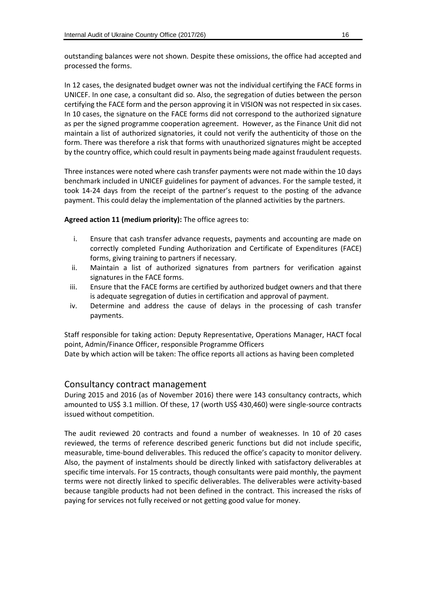outstanding balances were not shown. Despite these omissions, the office had accepted and processed the forms.

In 12 cases, the designated budget owner was not the individual certifying the FACE forms in UNICEF. In one case, a consultant did so. Also, the segregation of duties between the person certifying the FACE form and the person approving it in VISION was not respected in six cases. In 10 cases, the signature on the FACE forms did not correspond to the authorized signature as per the signed programme cooperation agreement. However, as the Finance Unit did not maintain a list of authorized signatories, it could not verify the authenticity of those on the form. There was therefore a risk that forms with unauthorized signatures might be accepted by the country office, which could result in payments being made against fraudulent requests.

Three instances were noted where cash transfer payments were not made within the 10 days benchmark included in UNICEF guidelines for payment of advances. For the sample tested, it took 14-24 days from the receipt of the partner's request to the posting of the advance payment. This could delay the implementation of the planned activities by the partners.

**Agreed action 11 (medium priority):** The office agrees to:

- i. Ensure that cash transfer advance requests, payments and accounting are made on correctly completed Funding Authorization and Certificate of Expenditures (FACE) forms, giving training to partners if necessary.
- ii. Maintain a list of authorized signatures from partners for verification against signatures in the FACE forms.
- iii. Ensure that the FACE forms are certified by authorized budget owners and that there is adequate segregation of duties in certification and approval of payment.
- iv. Determine and address the cause of delays in the processing of cash transfer payments.

Staff responsible for taking action: Deputy Representative, Operations Manager, HACT focal point, Admin/Finance Officer, responsible Programme Officers Date by which action will be taken: The office reports all actions as having been completed

#### Consultancy contract management

During 2015 and 2016 (as of November 2016) there were 143 consultancy contracts, which amounted to US\$ 3.1 million. Of these, 17 (worth US\$ 430,460) were single-source contracts issued without competition.

The audit reviewed 20 contracts and found a number of weaknesses. In 10 of 20 cases reviewed, the terms of reference described generic functions but did not include specific, measurable, time-bound deliverables. This reduced the office's capacity to monitor delivery. Also, the payment of instalments should be directly linked with satisfactory deliverables at specific time intervals. For 15 contracts, though consultants were paid monthly, the payment terms were not directly linked to specific deliverables. The deliverables were activity-based because tangible products had not been defined in the contract. This increased the risks of paying for services not fully received or not getting good value for money.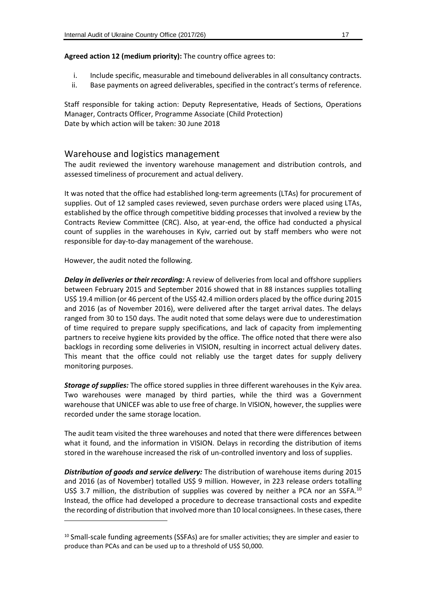**Agreed action 12 (medium priority):** The country office agrees to:

- i. Include specific, measurable and timebound deliverables in all consultancy contracts.
- ii. Base payments on agreed deliverables, specified in the contract's terms of reference.

Staff responsible for taking action: Deputy Representative, Heads of Sections, Operations Manager, Contracts Officer, Programme Associate (Child Protection) Date by which action will be taken: 30 June 2018

#### Warehouse and logistics management

The audit reviewed the inventory warehouse management and distribution controls, and assessed timeliness of procurement and actual delivery.

It was noted that the office had established long-term agreements (LTAs) for procurement of supplies. Out of 12 sampled cases reviewed, seven purchase orders were placed using LTAs, established by the office through competitive bidding processes that involved a review by the Contracts Review Committee (CRC). Also, at year-end, the office had conducted a physical count of supplies in the warehouses in Kyiv, carried out by staff members who were not responsible for day-to-day management of the warehouse.

However, the audit noted the following.

1

*Delay in deliveries or their recording:* A review of deliveries from local and offshore suppliers between February 2015 and September 2016 showed that in 88 instances supplies totalling US\$ 19.4 million (or 46 percent of the US\$ 42.4 million orders placed by the office during 2015 and 2016 (as of November 2016), were delivered after the target arrival dates. The delays ranged from 30 to 150 days. The audit noted that some delays were due to underestimation of time required to prepare supply specifications, and lack of capacity from implementing partners to receive hygiene kits provided by the office. The office noted that there were also backlogs in recording some deliveries in VISION, resulting in incorrect actual delivery dates. This meant that the office could not reliably use the target dates for supply delivery monitoring purposes.

*Storage of supplies:* The office stored supplies in three different warehouses in the Kyiv area. Two warehouses were managed by third parties, while the third was a Government warehouse that UNICEF was able to use free of charge. In VISION, however, the supplies were recorded under the same storage location.

The audit team visited the three warehouses and noted that there were differences between what it found, and the information in VISION. Delays in recording the distribution of items stored in the warehouse increased the risk of un-controlled inventory and loss of supplies.

*Distribution of goods and service delivery:* The distribution of warehouse items during 2015 and 2016 (as of November) totalled US\$ 9 million. However, in 223 release orders totalling US\$ 3.7 million, the distribution of supplies was covered by neither a PCA nor an SSFA.<sup>10</sup> Instead, the office had developed a procedure to decrease transactional costs and expedite the recording of distribution that involved more than 10 local consignees. In these cases, there

<sup>&</sup>lt;sup>10</sup> Small-scale funding agreements (SSFAs) are for smaller activities; they are simpler and easier to produce than PCAs and can be used up to a threshold of US\$ 50,000.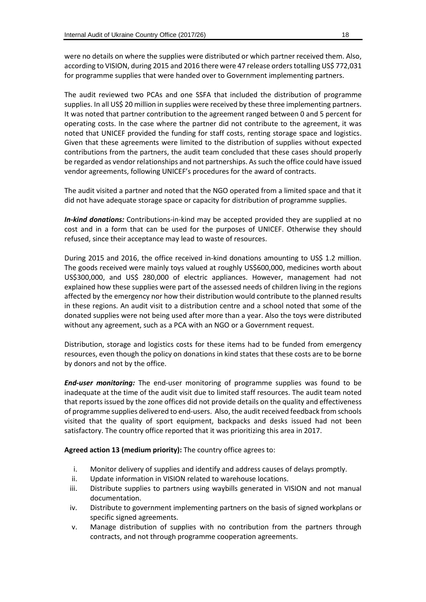were no details on where the supplies were distributed or which partner received them. Also, according to VISION, during 2015 and 2016 there were 47 release orders totalling US\$ 772,031 for programme supplies that were handed over to Government implementing partners.

The audit reviewed two PCAs and one SSFA that included the distribution of programme supplies. In all US\$ 20 million in supplies were received by these three implementing partners. It was noted that partner contribution to the agreement ranged between 0 and 5 percent for operating costs. In the case where the partner did not contribute to the agreement, it was noted that UNICEF provided the funding for staff costs, renting storage space and logistics. Given that these agreements were limited to the distribution of supplies without expected contributions from the partners, the audit team concluded that these cases should properly be regarded as vendor relationships and not partnerships. As such the office could have issued vendor agreements, following UNICEF's procedures for the award of contracts.

The audit visited a partner and noted that the NGO operated from a limited space and that it did not have adequate storage space or capacity for distribution of programme supplies.

*In-kind donations:* Contributions-in-kind may be accepted provided they are supplied at no cost and in a form that can be used for the purposes of UNICEF. Otherwise they should refused, since their acceptance may lead to waste of resources.

During 2015 and 2016, the office received in-kind donations amounting to US\$ 1.2 million. The goods received were mainly toys valued at roughly US\$600,000, medicines worth about US\$300,000, and US\$ 280,000 of electric appliances. However, management had not explained how these supplies were part of the assessed needs of children living in the regions affected by the emergency nor how their distribution would contribute to the planned results in these regions. An audit visit to a distribution centre and a school noted that some of the donated supplies were not being used after more than a year. Also the toys were distributed without any agreement, such as a PCA with an NGO or a Government request.

Distribution, storage and logistics costs for these items had to be funded from emergency resources, even though the policy on donations in kind states that these costs are to be borne by donors and not by the office.

*End-user monitoring:* The end-user monitoring of programme supplies was found to be inadequate at the time of the audit visit due to limited staff resources. The audit team noted that reports issued by the zone offices did not provide details on the quality and effectiveness of programme supplies delivered to end-users. Also, the audit received feedback from schools visited that the quality of sport equipment, backpacks and desks issued had not been satisfactory. The country office reported that it was prioritizing this area in 2017.

**Agreed action 13 (medium priority):** The country office agrees to:

- i. Monitor delivery of supplies and identify and address causes of delays promptly.
- ii. Update information in VISION related to warehouse locations.
- iii. Distribute supplies to partners using waybills generated in VISION and not manual documentation.
- iv. Distribute to government implementing partners on the basis of signed workplans or specific signed agreements.
- v. Manage distribution of supplies with no contribution from the partners through contracts, and not through programme cooperation agreements.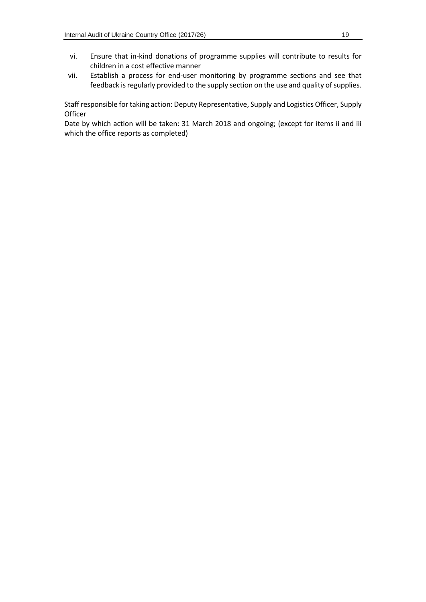- vi. Ensure that in-kind donations of programme supplies will contribute to results for children in a cost effective manner
- vii. Establish a process for end-user monitoring by programme sections and see that feedback is regularly provided to the supply section on the use and quality of supplies.

Staff responsible for taking action: Deputy Representative, Supply and Logistics Officer, Supply **Officer** 

Date by which action will be taken: 31 March 2018 and ongoing; (except for items ii and iii which the office reports as completed)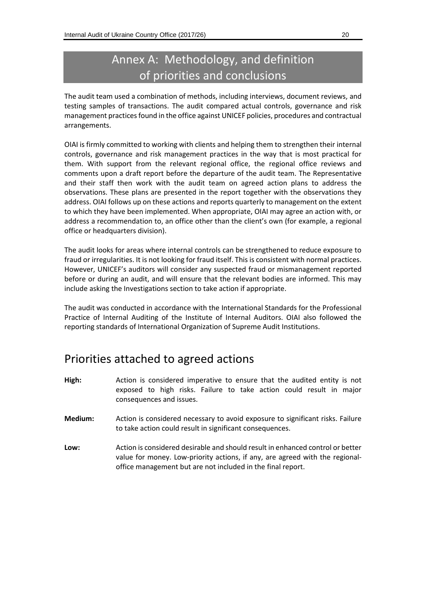### Annex A: Methodology, and definition of priorities and conclusions

The audit team used a combination of methods, including interviews, document reviews, and testing samples of transactions. The audit compared actual controls, governance and risk management practices found in the office against UNICEF policies, procedures and contractual arrangements.

OIAI is firmly committed to working with clients and helping them to strengthen their internal controls, governance and risk management practices in the way that is most practical for them. With support from the relevant regional office, the regional office reviews and comments upon a draft report before the departure of the audit team. The Representative and their staff then work with the audit team on agreed action plans to address the observations. These plans are presented in the report together with the observations they address. OIAI follows up on these actions and reports quarterly to management on the extent to which they have been implemented. When appropriate, OIAI may agree an action with, or address a recommendation to, an office other than the client's own (for example, a regional office or headquarters division).

The audit looks for areas where internal controls can be strengthened to reduce exposure to fraud or irregularities. It is not looking for fraud itself. This is consistent with normal practices. However, UNICEF's auditors will consider any suspected fraud or mismanagement reported before or during an audit, and will ensure that the relevant bodies are informed. This may include asking the Investigations section to take action if appropriate.

The audit was conducted in accordance with the International Standards for the Professional Practice of Internal Auditing of the Institute of Internal Auditors. OIAI also followed the reporting standards of International Organization of Supreme Audit Institutions.

### Priorities attached to agreed actions

- **High:** Action is considered imperative to ensure that the audited entity is not exposed to high risks. Failure to take action could result in major consequences and issues.
- **Medium:** Action is considered necessary to avoid exposure to significant risks. Failure to take action could result in significant consequences.
- **Low:** Action is considered desirable and should result in enhanced control or better value for money. Low-priority actions, if any, are agreed with the regionaloffice management but are not included in the final report.